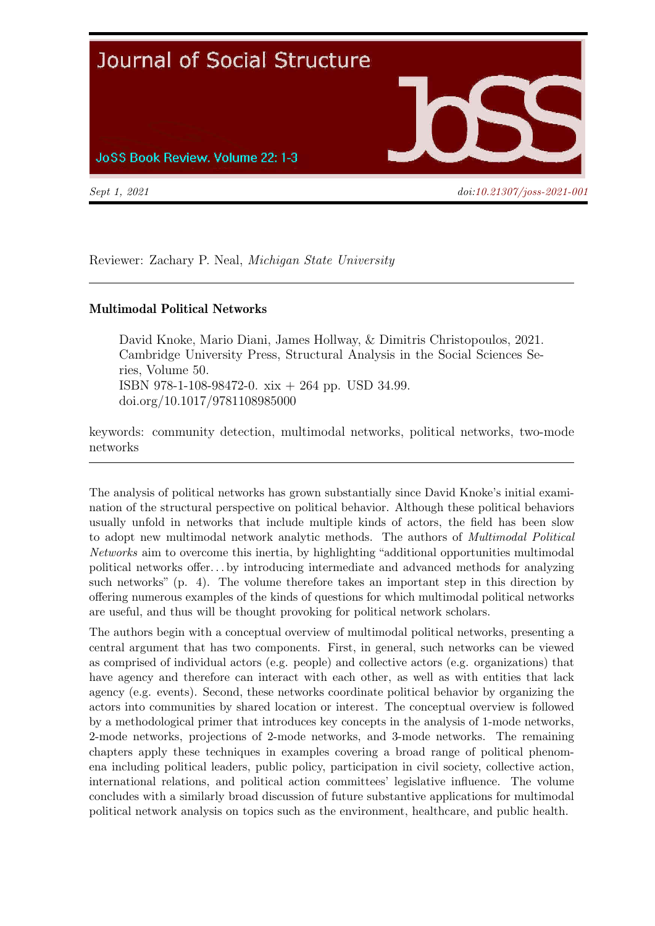

Reviewer: Zachary P. Neal, Michigan State University

## Multimodal Political Networks

David Knoke, Mario Diani, James Hollway, & Dimitris Christopoulos, 2021. Cambridge University Press, Structural Analysis in the Social Sciences Series, Volume 50. ISBN 978-1-108-98472-0. xix + 264 pp. USD 34.99. doi.org/10.1017/9781108985000

keywords: community detection, multimodal networks, political networks, two-mode networks

The analysis of political networks has grown substantially since David Knoke's initial examination of the structural perspective on political behavior. Although these political behaviors usually unfold in networks that include multiple kinds of actors, the field has been slow to adopt new multimodal network analytic methods. The authors of Multimodal Political Networks aim to overcome this inertia, by highlighting "additional opportunities multimodal political networks offer. . . by introducing intermediate and advanced methods for analyzing such networks" (p. 4). The volume therefore takes an important step in this direction by offering numerous examples of the kinds of questions for which multimodal political networks are useful, and thus will be thought provoking for political network scholars.

The authors begin with a conceptual overview of multimodal political networks, presenting a central argument that has two components. First, in general, such networks can be viewed as comprised of individual actors (e.g. people) and collective actors (e.g. organizations) that have agency and therefore can interact with each other, as well as with entities that lack agency (e.g. events). Second, these networks coordinate political behavior by organizing the actors into communities by shared location or interest. The conceptual overview is followed by a methodological primer that introduces key concepts in the analysis of 1-mode networks, 2-mode networks, projections of 2-mode networks, and 3-mode networks. The remaining chapters apply these techniques in examples covering a broad range of political phenomena including political leaders, public policy, participation in civil society, collective action, international relations, and political action committees' legislative influence. The volume concludes with a similarly broad discussion of future substantive applications for multimodal political network analysis on topics such as the environment, healthcare, and public health.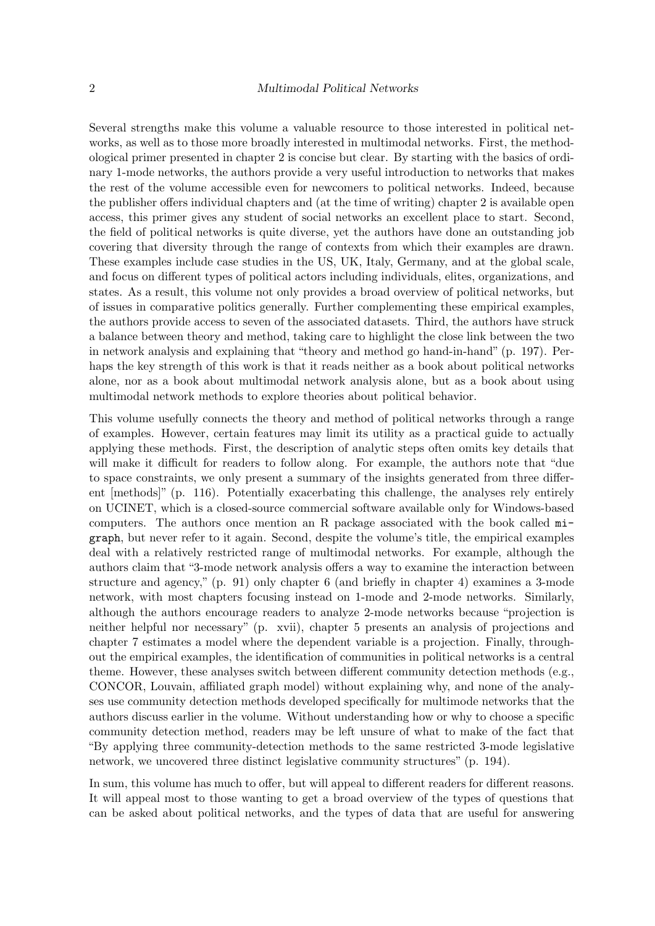Several strengths make this volume a valuable resource to those interested in political networks, as well as to those more broadly interested in multimodal networks. First, the methodological primer presented in chapter 2 is concise but clear. By starting with the basics of ordinary 1-mode networks, the authors provide a very useful introduction to networks that makes the rest of the volume accessible even for newcomers to political networks. Indeed, because the publisher offers individual chapters and (at the time of writing) chapter 2 is available open access, this primer gives any student of social networks an excellent place to start. Second, the field of political networks is quite diverse, yet the authors have done an outstanding job covering that diversity through the range of contexts from which their examples are drawn. These examples include case studies in the US, UK, Italy, Germany, and at the global scale, and focus on different types of political actors including individuals, elites, organizations, and states. As a result, this volume not only provides a broad overview of political networks, but of issues in comparative politics generally. Further complementing these empirical examples, the authors provide access to seven of the associated datasets. Third, the authors have struck a balance between theory and method, taking care to highlight the close link between the two in network analysis and explaining that "theory and method go hand-in-hand" (p. 197). Perhaps the key strength of this work is that it reads neither as a book about political networks alone, nor as a book about multimodal network analysis alone, but as a book about using multimodal network methods to explore theories about political behavior.

This volume usefully connects the theory and method of political networks through a range of examples. However, certain features may limit its utility as a practical guide to actually applying these methods. First, the description of analytic steps often omits key details that will make it difficult for readers to follow along. For example, the authors note that "due to space constraints, we only present a summary of the insights generated from three different [methods]" (p. 116). Potentially exacerbating this challenge, the analyses rely entirely on UCINET, which is a closed-source commercial software available only for Windows-based computers. The authors once mention an R package associated with the book called migraph, but never refer to it again. Second, despite the volume's title, the empirical examples deal with a relatively restricted range of multimodal networks. For example, although the authors claim that "3-mode network analysis offers a way to examine the interaction between structure and agency," (p. 91) only chapter 6 (and briefly in chapter 4) examines a 3-mode network, with most chapters focusing instead on 1-mode and 2-mode networks. Similarly, although the authors encourage readers to analyze 2-mode networks because "projection is neither helpful nor necessary" (p. xvii), chapter 5 presents an analysis of projections and chapter 7 estimates a model where the dependent variable is a projection. Finally, throughout the empirical examples, the identification of communities in political networks is a central theme. However, these analyses switch between different community detection methods (e.g., CONCOR, Louvain, affiliated graph model) without explaining why, and none of the analyses use community detection methods developed specifically for multimode networks that the authors discuss earlier in the volume. Without understanding how or why to choose a specific community detection method, readers may be left unsure of what to make of the fact that "By applying three community-detection methods to the same restricted 3-mode legislative network, we uncovered three distinct legislative community structures" (p. 194).

In sum, this volume has much to offer, but will appeal to different readers for different reasons. It will appeal most to those wanting to get a broad overview of the types of questions that can be asked about political networks, and the types of data that are useful for answering